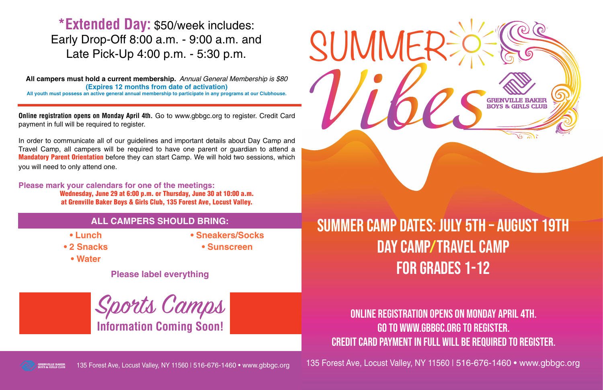

135 Forest Ave, Locust Valley, NY 11560 | 516-676-1460 • www.gbbgc.org

- 
- **Lunch**

**• 2 Snacks**

**• Water** 

- **Sneakers/Socks**
- **Sunscreen**

## ALL CAMPERS SHOULD BRING: **SUMMER CAMP DATES: JULY 5TH – AUGUST 19TH** Day Camp/Travel Camp for Grades 1-12

**Please label everything** 

135 Forest Ave, Locust Valley, NY 11560 | 516-676-1460 • www.gbbgc.org

## Online registration opens on Monday April 4th. Go to www.gbbgc.org to register.

Credit Card payment in full will be required to register.

**All campers must hold a current membership.** *Annual General Membership is \$80* **(Expires 12 months from date of activation) All youth must possess an active general annual membership to participate in any programs at our Clubhouse.** 

**Online registration opens on Monday April 4th.** Go to www.gbbgc.org to register. Credit Card payment in full will be required to register.

In order to communicate all of our guidelines and important details about Day Camp and Travel Camp, all campers will be required to have one parent or guardian to attend a **Mandatory Parent Orientation** before they can start Camp. We will hold two sessions, which you will need to only attend one.

**Please mark your calendars for one of the meetings:**  Wednesday, June 29 at 6:00 p.m. or Thursday, June 30 at 10:00 a.m. at Grenville Baker Boys & Girls Club, 135 Forest Ave, Locust Valley.

## **\*Extended Day:** \$50/week includes: Early Drop-Off 8:00 a.m. - 9:00 a.m. and Late Pick-Up 4:00 p.m. - 5:30 p.m.